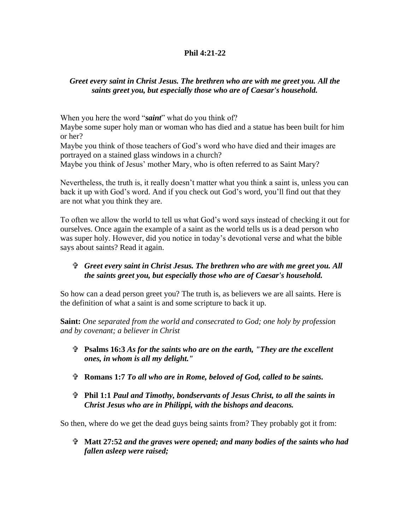## **Phil 4:21-22**

## *Greet every saint in Christ Jesus. The brethren who are with me greet you. All the saints greet you, but especially those who are of Caesar's household.*

When you here the word "*saint*" what do you think of?

Maybe some super holy man or woman who has died and a statue has been built for him or her?

Maybe you think of those teachers of God's word who have died and their images are portrayed on a stained glass windows in a church?

Maybe you think of Jesus' mother Mary, who is often referred to as Saint Mary?

Nevertheless, the truth is, it really doesn't matter what you think a saint is, unless you can back it up with God's word. And if you check out God's word, you'll find out that they are not what you think they are.

To often we allow the world to tell us what God's word says instead of checking it out for ourselves. Once again the example of a saint as the world tells us is a dead person who was super holy. However, did you notice in today's devotional verse and what the bible says about saints? Read it again.

## *Greet every saint in Christ Jesus. The brethren who are with me greet you. All the saints greet you, but especially those who are of Caesar's household.*

So how can a dead person greet you? The truth is, as believers we are all saints. Here is the definition of what a saint is and some scripture to back it up.

**Saint:** *One separated from the world and consecrated to God; one holy by profession and by covenant; a believer in Christ* 

- **Psalms 16:3** *As for the saints who are on the earth, "They are the excellent ones, in whom is all my delight."*
- **Romans 1:7** *To all who are in Rome, beloved of God, called to be saints.*
- **Phil 1:1** *Paul and Timothy, bondservants of Jesus Christ, to all the saints in Christ Jesus who are in Philippi, with the bishops and deacons.*

So then, where do we get the dead guys being saints from? They probably got it from:

 **Matt 27:52** *and the graves were opened; and many bodies of the saints who had fallen asleep were raised;*